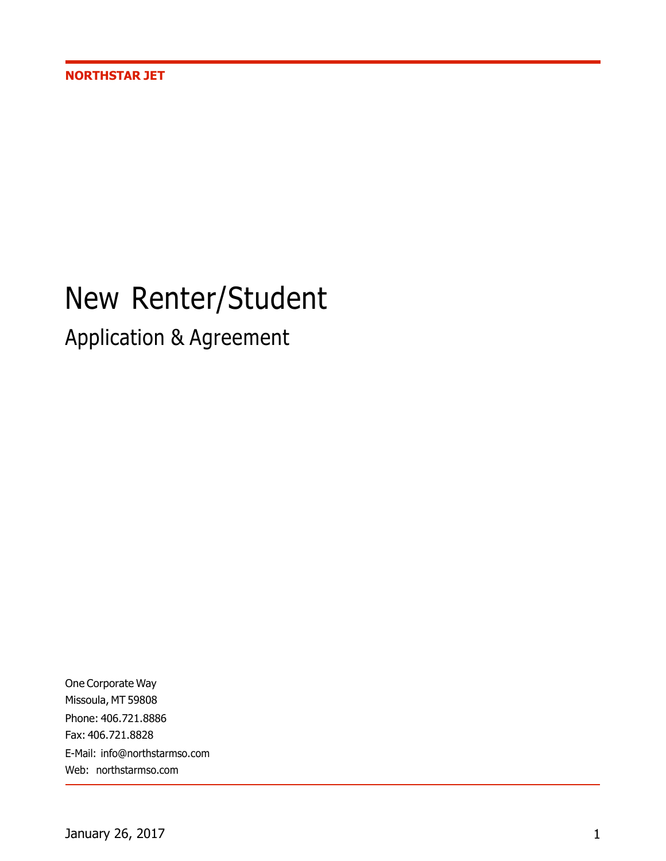# New Renter/Student

Application & Agreement

One Corporate Way Missoula, MT 59808 Phone: 406.721.8886 Fax: 406.721.8828 E-Mail: info@northstarmso.com Web: northstarmso.com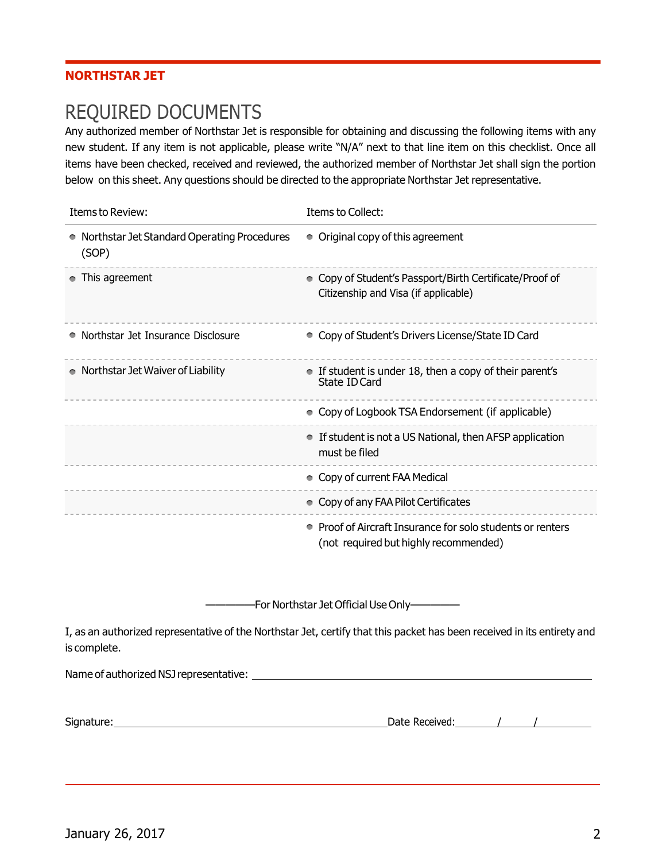#### **NORTHSTAR JET**

### REQUIRED DOCUMENTS

Any authorized member of Northstar Jet is responsible for obtaining and discussing the following items with any new student. If any item is not applicable, please write "N/A" next to that line item on this checklist. Once all items have been checked, received and reviewed, the authorized member of Northstar Jet shall sign the portion below on this sheet. Any questions should be directed to the appropriate Northstar Jet representative.

| Items to Review:                                     | Items to Collect:                                                                                 |
|------------------------------------------------------|---------------------------------------------------------------------------------------------------|
| Northstar Jet Standard Operating Procedures<br>(SOP) | • Original copy of this agreement                                                                 |
| This agreement                                       | • Copy of Student's Passport/Birth Certificate/Proof of<br>Citizenship and Visa (if applicable)   |
| Northstar Jet Insurance Disclosure                   | • Copy of Student's Drivers License/State ID Card                                                 |
| • Northstar Jet Waiver of Liability                  | • If student is under 18, then a copy of their parent's<br>State ID Card                          |
|                                                      | • Copy of Logbook TSA Endorsement (if applicable)                                                 |
|                                                      | If student is not a US National, then AFSP application<br>$\bullet$<br>must be filed              |
|                                                      | • Copy of current FAA Medical                                                                     |
|                                                      | • Copy of any FAA Pilot Certificates                                                              |
|                                                      | Proof of Aircraft Insurance for solo students or renters<br>(not required but highly recommended) |

—————For Northstar Jet Official Use Only—————

I, as an authorized representative of the Northstar Jet, certify that this packet has been received in its entirety and is complete.

Name of authorized NSJ representative:

Signature: Date Received: / /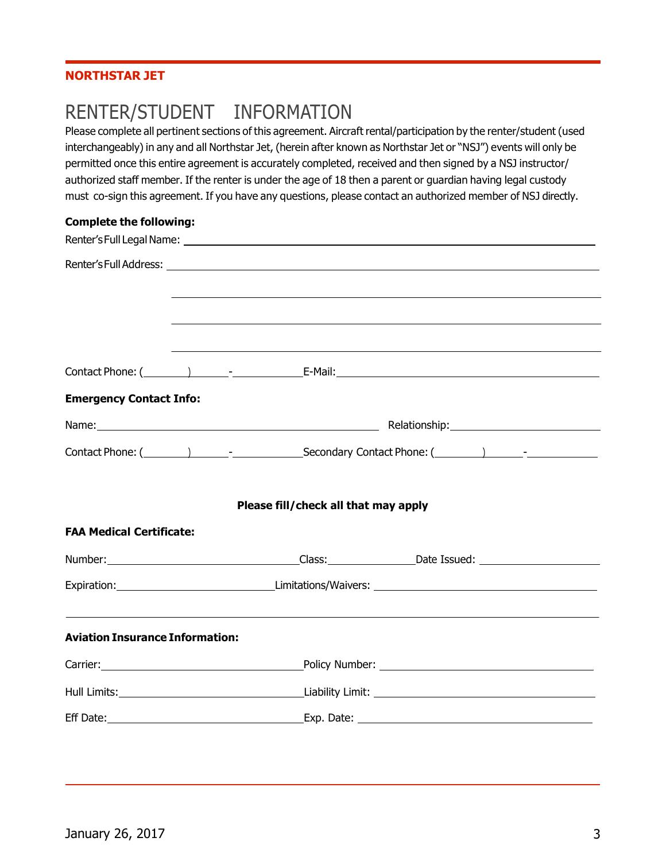#### **NORTHSTAR JET**

## RENTER/STUDENT INFORMATION

Please complete all pertinent sections of this agreement. Aircraft rental/participation by the renter/student (used interchangeably) in any and all Northstar Jet, (herein after known as Northstar Jet or "NSJ") events will only be permitted once this entire agreement is accurately completed, received and then signed by a NSJ instructor/ authorized staff member. If the renter is under the age of 18 then a parent or guardian having legal custody must co-sign this agreement. If you have any questions, please contact an authorized member of NSJ directly.

#### **Complete the following:**

| <b>Emergency Contact Info:</b>                                                                                                                                   |  |  |                                                                                                                |  |
|------------------------------------------------------------------------------------------------------------------------------------------------------------------|--|--|----------------------------------------------------------------------------------------------------------------|--|
|                                                                                                                                                                  |  |  |                                                                                                                |  |
|                                                                                                                                                                  |  |  |                                                                                                                |  |
| Please fill/check all that may apply                                                                                                                             |  |  |                                                                                                                |  |
| <b>FAA Medical Certificate:</b>                                                                                                                                  |  |  |                                                                                                                |  |
|                                                                                                                                                                  |  |  | Number: Number: 2008.com 2008.com 2012.com 2014.com 2014.com 2014.com 2014.com 2014.com 2014.com 2014.com 2014 |  |
|                                                                                                                                                                  |  |  |                                                                                                                |  |
| <u> 1989 - Andrea Santa Andrea Santa Andrea Santa Andrea Santa Andrea Santa Andrea Santa Andrea Santa Andrea Santa</u><br><b>Aviation Insurance Information:</b> |  |  |                                                                                                                |  |
|                                                                                                                                                                  |  |  |                                                                                                                |  |
|                                                                                                                                                                  |  |  |                                                                                                                |  |
|                                                                                                                                                                  |  |  |                                                                                                                |  |
|                                                                                                                                                                  |  |  |                                                                                                                |  |